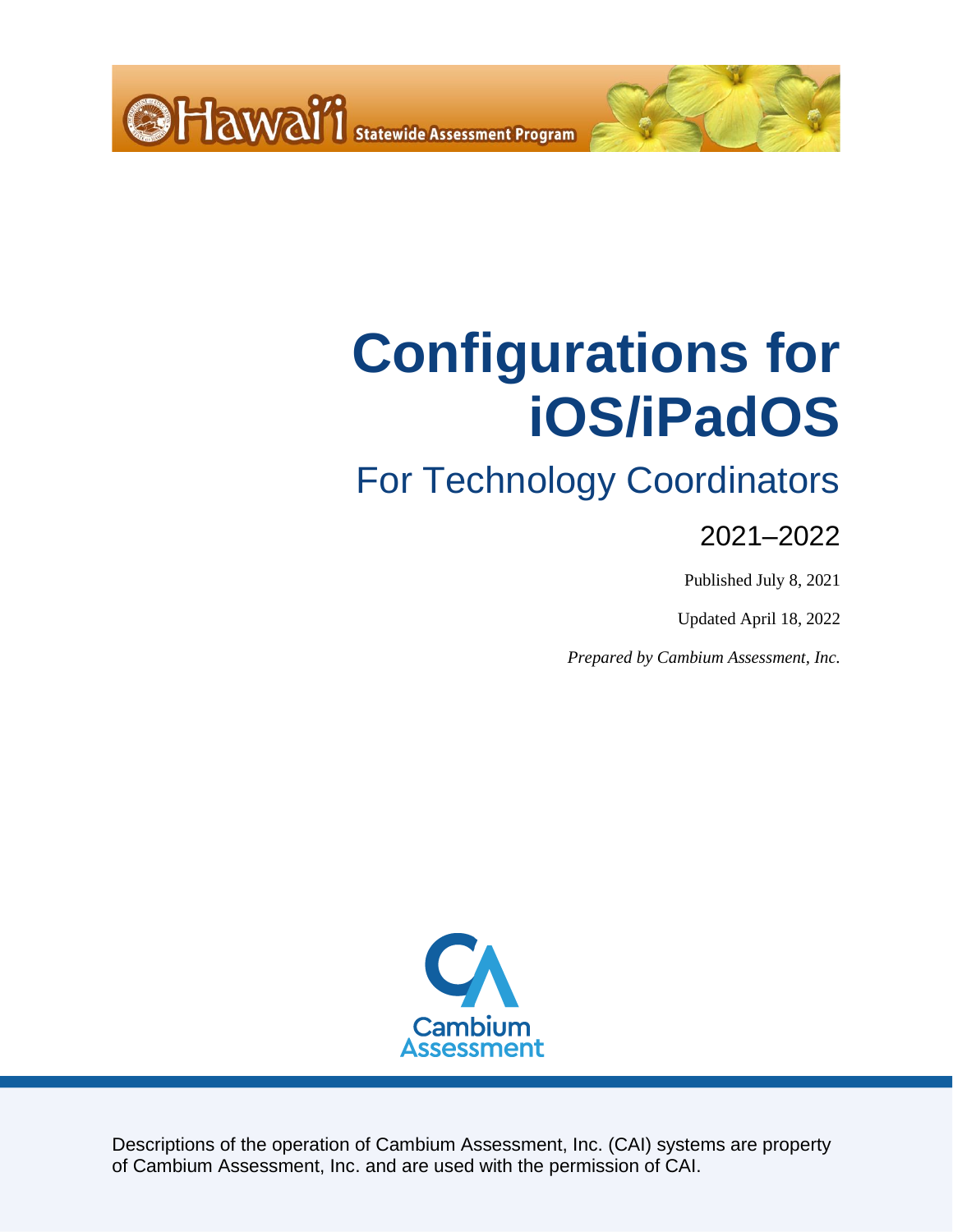<span id="page-0-0"></span>

# For Technology Coordinators

### 2021–2022

Published July 8, 2021

Updated April 18, 2022

*Prepared by Cambium Assessment, Inc.*



Descriptions of the operation of Cambium Assessment, Inc. (CAI) systems are property of Cambium Assessment, Inc. and are used with the permission of CAI.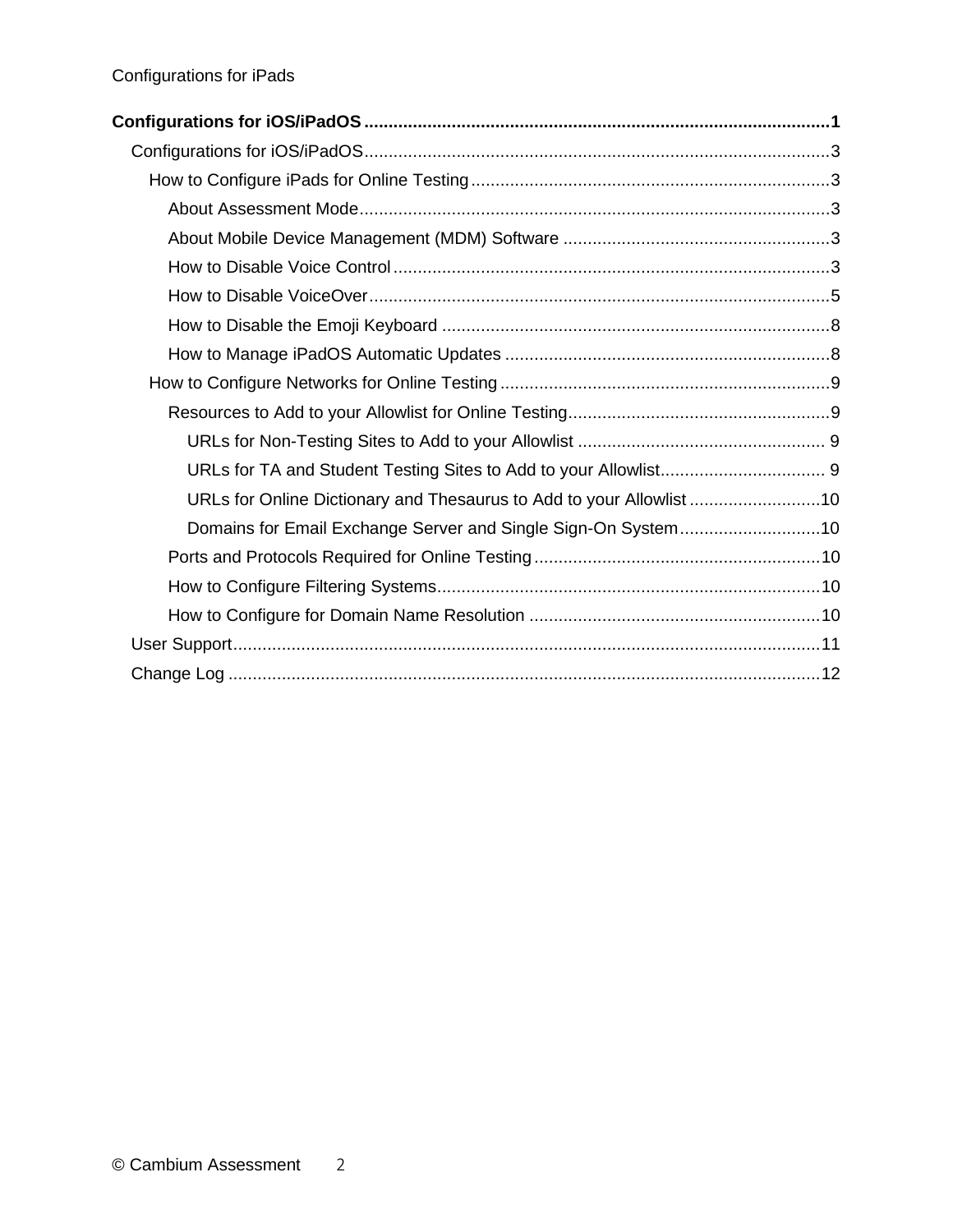| Configurations for iOS/iPadOS …………………………………………………………………………………………1    |  |
|----------------------------------------------------------------------|--|
|                                                                      |  |
|                                                                      |  |
|                                                                      |  |
|                                                                      |  |
|                                                                      |  |
|                                                                      |  |
|                                                                      |  |
|                                                                      |  |
|                                                                      |  |
|                                                                      |  |
|                                                                      |  |
|                                                                      |  |
| URLs for Online Dictionary and Thesaurus to Add to your Allowlist 10 |  |
| Domains for Email Exchange Server and Single Sign-On System10        |  |
|                                                                      |  |
|                                                                      |  |
|                                                                      |  |
|                                                                      |  |
|                                                                      |  |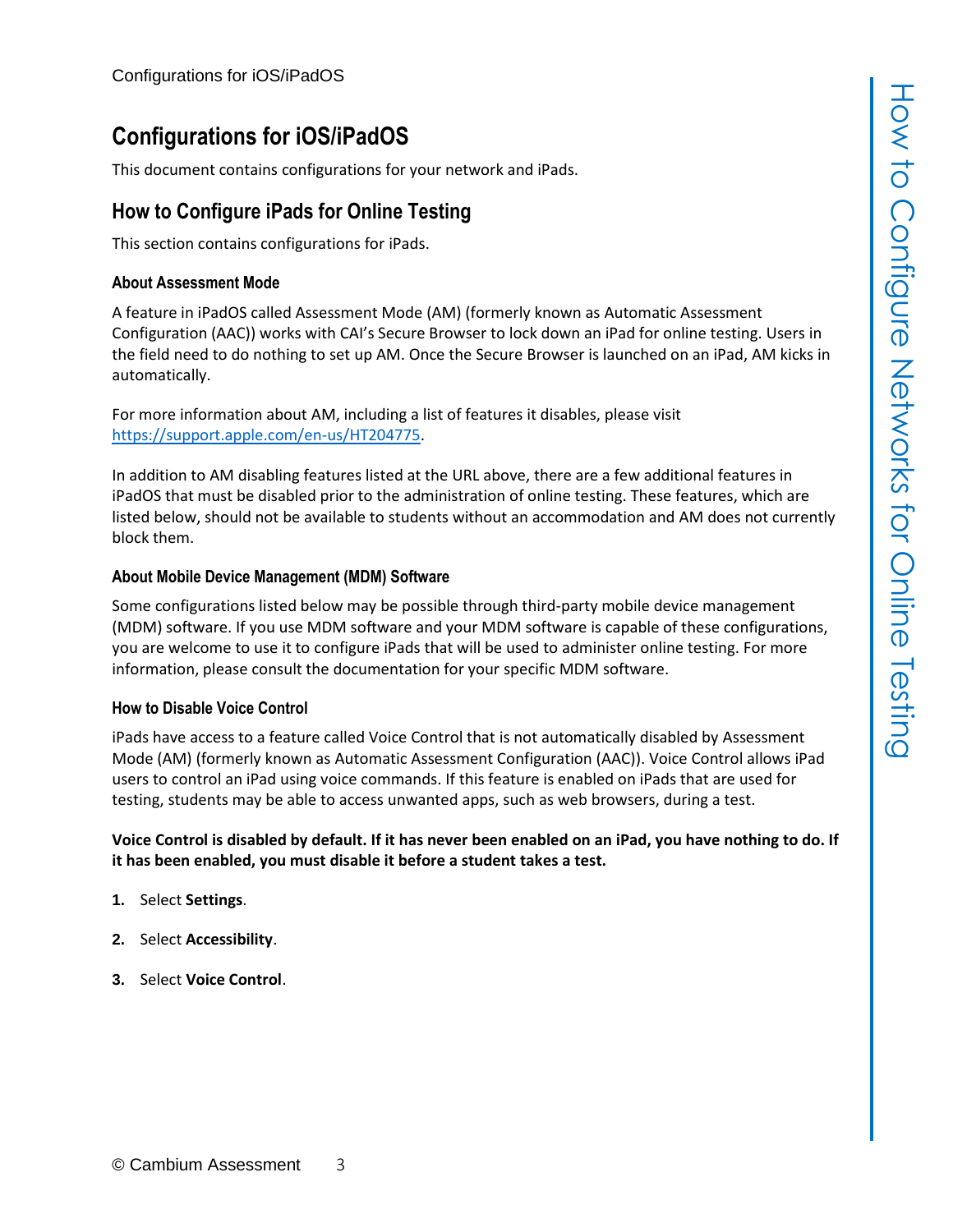<span id="page-2-0"></span>This document contains configurations for your network and iPads.

### <span id="page-2-1"></span>**How to Configure iPads for Online Testing**

This section contains configurations for iPads.

#### <span id="page-2-2"></span>**About Assessment Mode**

A feature in iPadOS called Assessment Mode (AM) (formerly known as Automatic Assessment Configuration (AAC)) works with CAI's Secure Browser to lock down an iPad for online testing. Users in the field need to do nothing to set up AM. Once the Secure Browser is launched on an iPad, AM kicks in automatically.

For more information about AM, including a list of features it disables, please visit [https://support.apple.com/en-us/HT204775.](https://support.apple.com/en-us/HT204775)

In addition to AM disabling features listed at the URL above, there are a few additional features in iPadOS that must be disabled prior to the administration of online testing. These features, which are listed below, should not be available to students without an accommodation and AM does not currently block them.

#### <span id="page-2-3"></span>**About Mobile Device Management (MDM) Software**

Some configurations listed below may be possible through third-party mobile device management (MDM) software. If you use MDM software and your MDM software is capable of these configurations, you are welcome to use it to configure iPads that will be used to administer online testing. For more information, please consult the documentation for your specific MDM software.

#### <span id="page-2-4"></span>**How to Disable Voice Control**

iPads have access to a feature called Voice Control that is not automatically disabled by Assessment Mode (AM) (formerly known as Automatic Assessment Configuration (AAC)). Voice Control allows iPad users to control an iPad using voice commands. If this feature is enabled on iPads that are used for testing, students may be able to access unwanted apps, such as web browsers, during a test.

#### **Voice Control is disabled by default. If it has never been enabled on an iPad, you have nothing to do. If it has been enabled, you must disable it before a student takes a test.**

- **1.** Select **Settings**.
- **2.** Select **Accessibility**.
- **3.** Select **Voice Control**.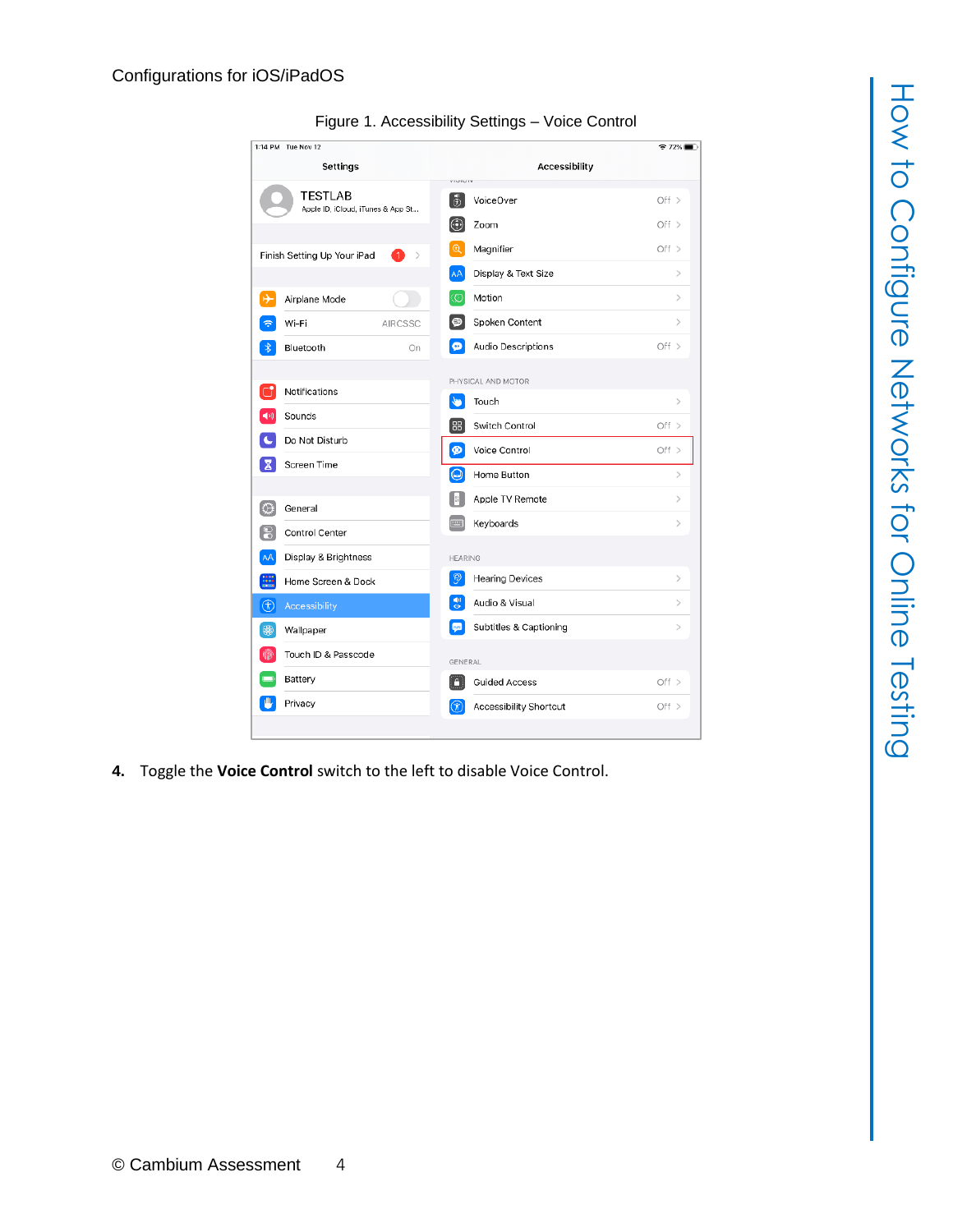| 1:14 PM Tue Nov 12                                           |                                                                        | $\approx$ 72%                |
|--------------------------------------------------------------|------------------------------------------------------------------------|------------------------------|
| Settings                                                     | Accessibility<br>VIGILITY                                              |                              |
| <b>TESTLAB</b><br>Apple ID, iCloud, iTunes & App St          | $\left[\begin{smallmatrix} 0\\ 0\end{smallmatrix}\right]$<br>VoiceOver | Off >                        |
|                                                              | $_{\odot}$<br>Zoom                                                     | Off >                        |
| Finish Setting Up Your iPad<br>$\mathbf{1}$<br>$\mathcal{P}$ | $\Theta$<br>Magnifier                                                  | Off >                        |
|                                                              | AA<br>Display & Text Size                                              | $\left\langle \right\rangle$ |
| ⊬<br>Airplane Mode                                           | ത<br>Motion                                                            | $\,>\,$                      |
| Wi-Fi<br><b>AIRCSSC</b>                                      | $\bullet$<br>Spoken Content                                            | $\rm{>}$                     |
| Bluetooth<br>On                                              | ø<br>Audio Descriptions                                                | Off $>$                      |
|                                                              | PHYSICAL AND MOTOR                                                     |                              |
| Notifications                                                | ٩F<br>Touch                                                            | $\rm{>}$                     |
| Sounds                                                       | 88<br>Switch Control                                                   | Off $>$                      |
| Do Not Disturb                                               | Ø<br>Voice Control                                                     | Off $>$                      |
| Screen Time<br>х                                             | $\bm{\mathsf{\Omega}}$<br>Home Button                                  | $\mathcal{P}$                |
| General<br>O)                                                | Apple TV Remote<br>Ħ                                                   | $\mathcal{P}$                |
| ខ<br>Control Center                                          | Keyboards<br><b>PUT</b>                                                | $\,>\,$                      |
| AÅ<br>Display & Brightness                                   | <b>HEARING</b>                                                         |                              |
| ₩<br>Home Screen & Dock                                      | $\langle 6 \rangle$<br><b>Hearing Devices</b>                          | $\mathcal{P}$                |
|                                                              | 뤵<br>Audio & Visual                                                    | $\mathcal{P}$                |
| $\circledR$<br>Accessibility                                 | $n -$<br>Subtitles & Captioning                                        | $\geq$                       |
| \$<br>Wallpaper                                              |                                                                        |                              |
| Touch ID & Passcode                                          | GENERAL                                                                |                              |
| Battery                                                      | n<br><b>Guided Access</b>                                              | Off $>$                      |
| Privacy                                                      | (K)<br>Accessibility Shortcut                                          | Off >                        |

Figure 1. Accessibility Settings – Voice Control

**4.** Toggle the **Voice Control** switch to the left to disable Voice Control.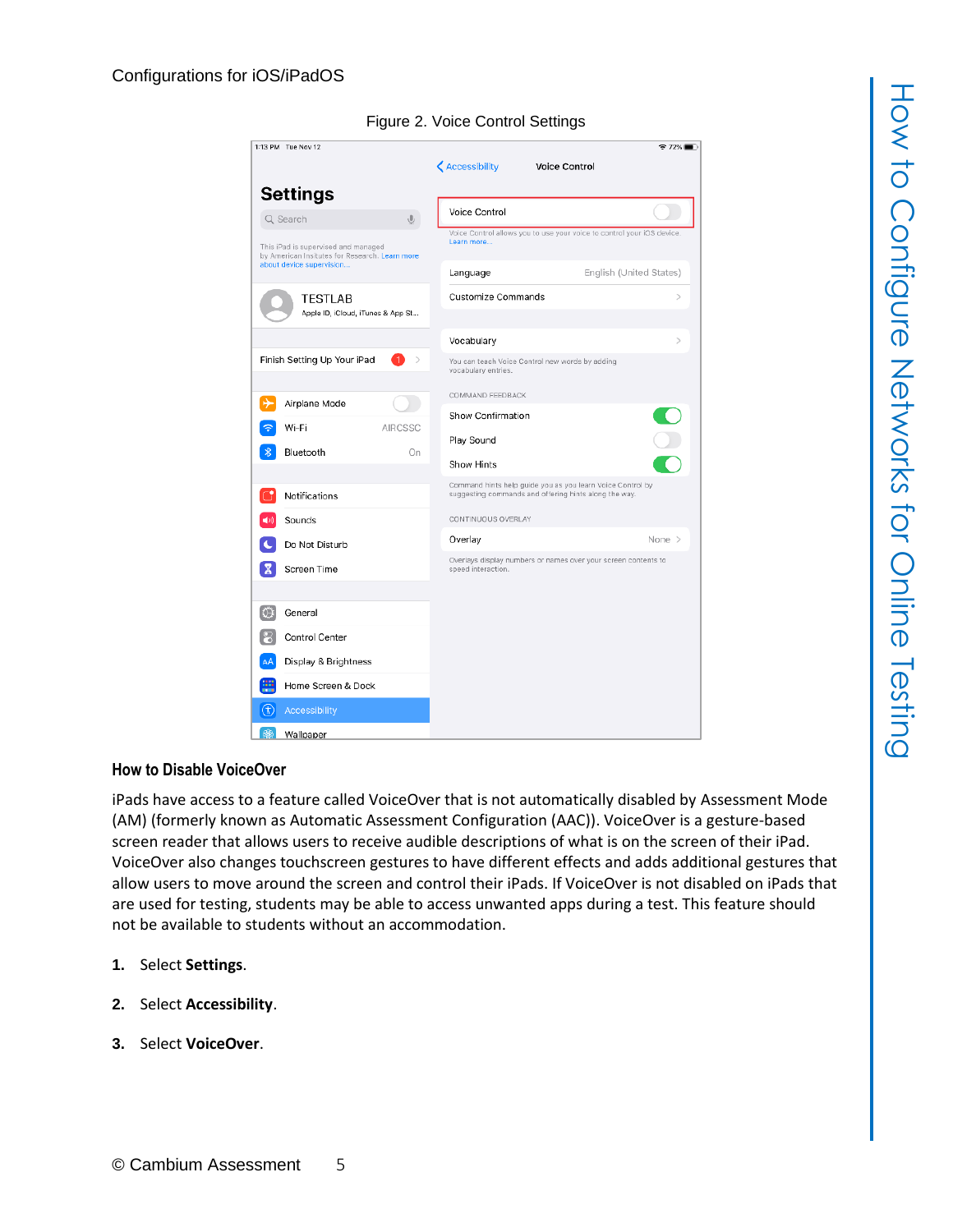

#### Figure 2. Voice Control Settings

#### <span id="page-4-0"></span>**How to Disable VoiceOver**

iPads have access to a feature called VoiceOver that is not automatically disabled by Assessment Mode (AM) (formerly known as Automatic Assessment Configuration (AAC)). VoiceOver is a gesture-based screen reader that allows users to receive audible descriptions of what is on the screen of their iPad. VoiceOver also changes touchscreen gestures to have different effects and adds additional gestures that allow users to move around the screen and control their iPads. If VoiceOver is not disabled on iPads that are used for testing, students may be able to access unwanted apps during a test. This feature should not be available to students without an accommodation.

- **1.** Select **Settings**.
- **2.** Select **Accessibility**.
- **3.** Select **VoiceOver**.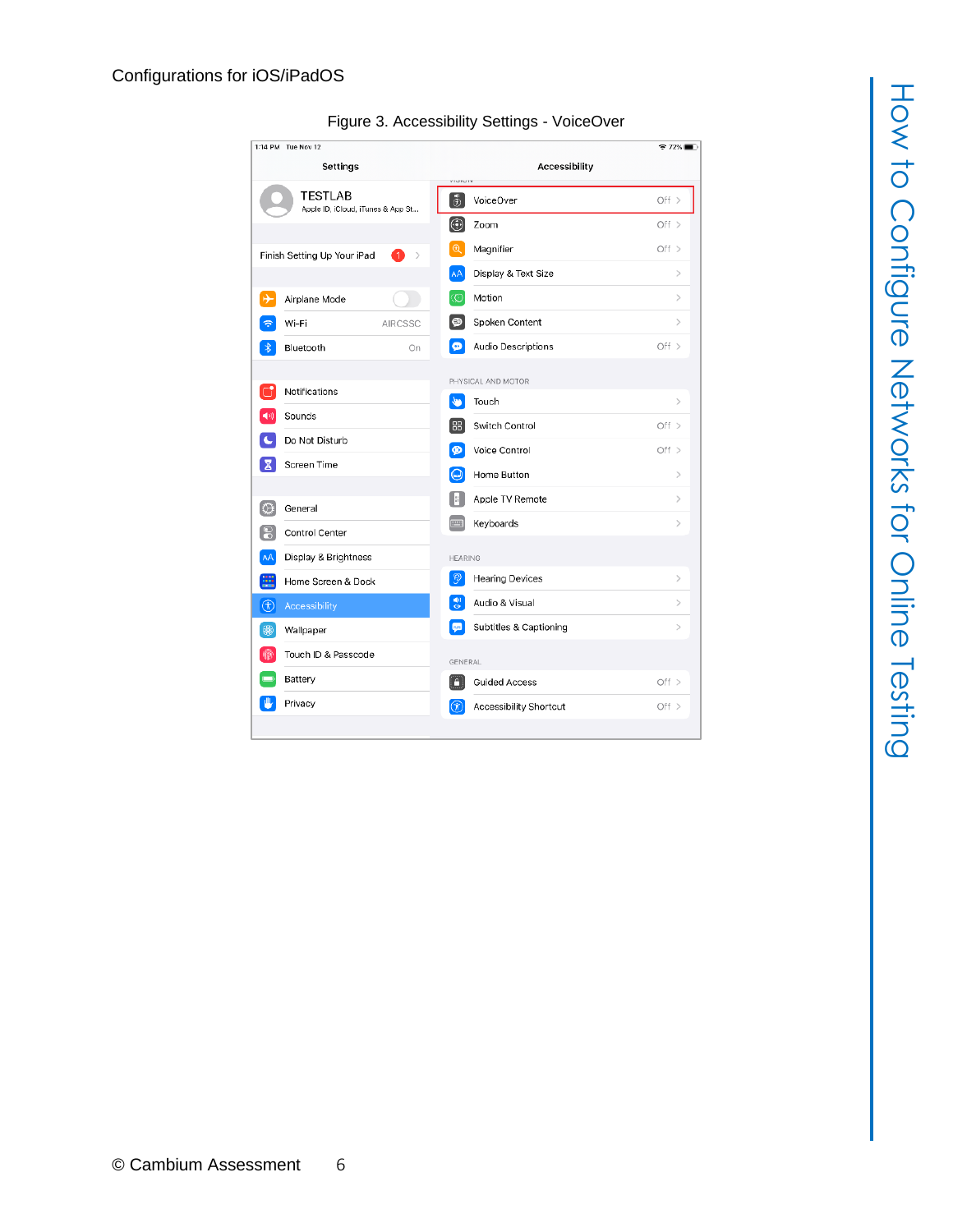| 1:14 PM Tue Nov 12                                  |                                         | $72\%$        |  |  |
|-----------------------------------------------------|-----------------------------------------|---------------|--|--|
| Settings                                            | <b>Accessibility</b><br>VIGILITY        |               |  |  |
| <b>TESTLAB</b><br>Apple ID, iCloud, iTunes & App St | $\boxed{\oplus}$<br>VoiceOver           | Off $>$       |  |  |
|                                                     | $\circledcirc$<br>Zoom                  | Off >         |  |  |
| Finish Setting Up Your iPad<br>-1<br>$\rightarrow$  | $^{\circledR}$<br>Magnifier             | Off >         |  |  |
|                                                     | AA<br>Display & Text Size               | $\mathcal{P}$ |  |  |
| ⊬<br>Airplane Mode                                  | Motion<br>O                             | $\mathcal{P}$ |  |  |
| Wi-Fi<br><b>AIRCSSC</b>                             | Spoken Content<br>⊕                     | $\mathcal{P}$ |  |  |
| Bluetooth<br>On                                     | $\bullet$<br>Audio Descriptions         | Off $>$       |  |  |
|                                                     | PHYSICAL AND MOTOR                      |               |  |  |
| Notifications                                       | <b>Sea</b><br>Touch                     | $\rm{>}$      |  |  |
| 40)<br>Sounds                                       | 88<br>Switch Control                    | Off $>$       |  |  |
| Do Not Disturb                                      | $\bullet$<br>Voice Control              | Off $>$       |  |  |
| Screen Time<br>х                                    | ۵<br>Home Button                        | $\mathcal{P}$ |  |  |
| IО<br>General                                       | Apple TV Remote<br>Ħ                    | $\mathcal{P}$ |  |  |
| 18<br>Control Center                                | <b>FOR A</b><br>Keyboards               | $\rm{>}$      |  |  |
| AÂ<br>Display & Brightness                          | HEARING                                 |               |  |  |
| ₩<br>Home Screen & Dock                             | $\mathcal{D}$<br><b>Hearing Devices</b> | $\mathcal{P}$ |  |  |
| ⊕<br>Accessibility                                  | 퀭<br>Audio & Visual                     | $\,>\,$       |  |  |
| து<br>Wallpaper                                     | Subtitles & Captioning<br><b>Cycle</b>  | $\,>\,$       |  |  |
| Touch ID & Passcode                                 |                                         |               |  |  |
| Battery                                             | GENERAL                                 |               |  |  |
| Privacy                                             | n<br><b>Guided Access</b>               | Off $>$       |  |  |
|                                                     | $\circledR$<br>Accessibility Shortcut   | Off >         |  |  |

#### Figure 3. Accessibility Settings - VoiceOver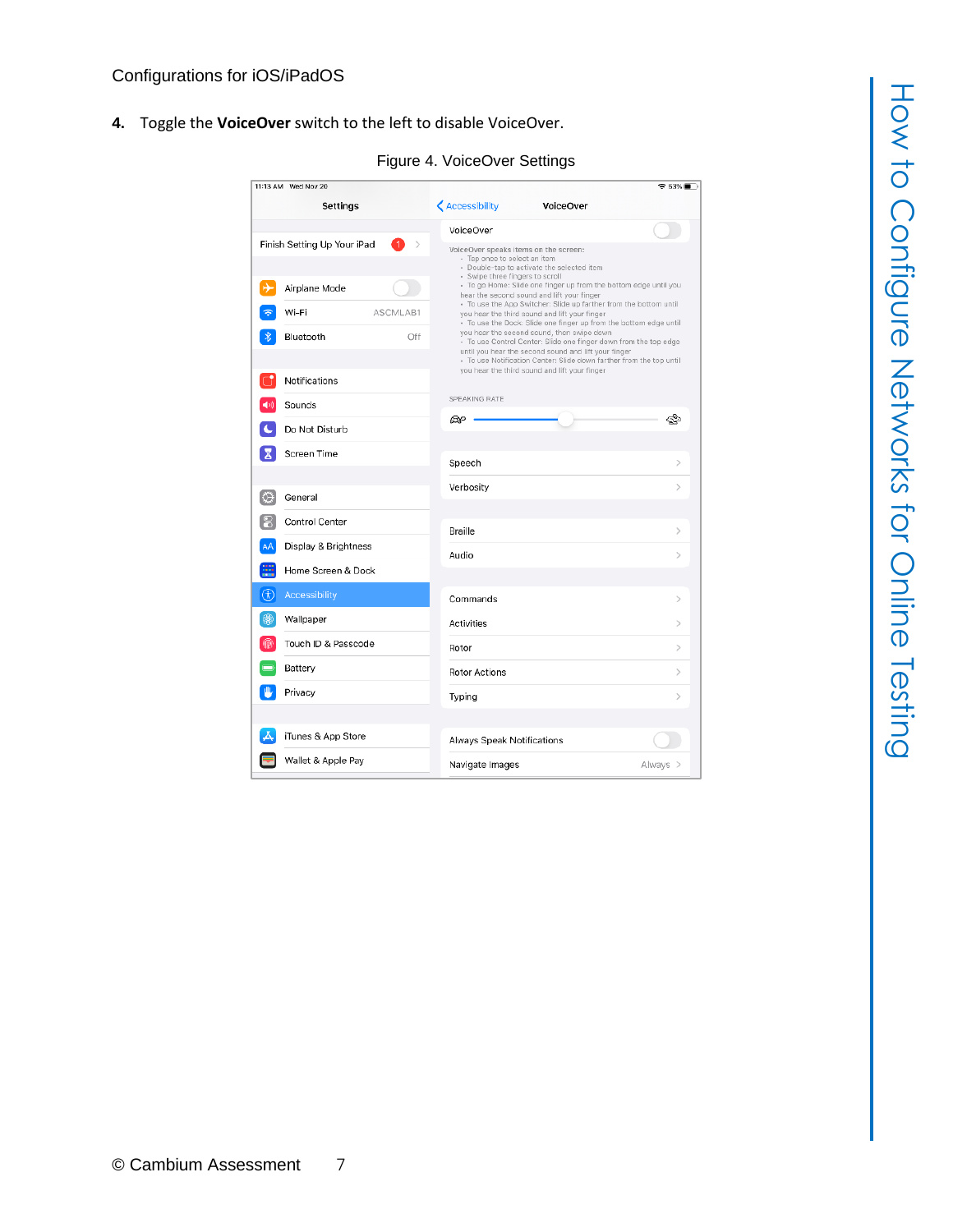**4.** Toggle the **VoiceOver** switch to the left to disable VoiceOver.

| 11:13 AM Wed Nov 20         |                                                                       |                                                                                                                                                                                         | କ 83% <b>≣</b> ା |
|-----------------------------|-----------------------------------------------------------------------|-----------------------------------------------------------------------------------------------------------------------------------------------------------------------------------------|------------------|
| Settings                    | <b>く</b> Accessibility                                                | <b>VoiceOver</b>                                                                                                                                                                        |                  |
|                             | VoiceOver                                                             |                                                                                                                                                                                         |                  |
| Finish Setting Up Your iPad | VoiceOver speaks items on the screen:<br>- Tap once to select an item | - Double-tap to activate the selected item                                                                                                                                              |                  |
| Airplane Mode               | - Swipe three fingers to scroll                                       | - To go Home: Slide one finger up from the bottom edge until you<br>hear the second sound and lift your finger                                                                          |                  |
| Wi-Fi<br>ASCMLAB1           |                                                                       | - To use the App Switcher: Slide up farther from the bottom until<br>you hear the third sound and lift your finger<br>· To use the Dock: Slide one finger up from the bottom edge until |                  |
| Bluetooth<br>Off            |                                                                       | you hear the second sound, then swipe down<br>- To use Control Center: Slide one finger down from the top edge<br>until you hear the second sound and lift your finger                  |                  |
| Notifications               |                                                                       | - To use Notification Center: Slide down farther from the top until<br>you hear the third sound and lift your finger                                                                    |                  |
| Sounds                      | SPEAKING RATE                                                         |                                                                                                                                                                                         |                  |
| Do Not Disturb              | ⅏                                                                     |                                                                                                                                                                                         |                  |
| Screen Time                 | Speech                                                                |                                                                                                                                                                                         |                  |
| $\circ$<br>General          | Verbosity                                                             |                                                                                                                                                                                         | $\mathcal{P}$    |
| Control Center              |                                                                       |                                                                                                                                                                                         |                  |
| AÅ<br>Display & Brightness  | Braille                                                               |                                                                                                                                                                                         | ⋋                |
| 噩<br>Home Screen & Dock     | Audio                                                                 |                                                                                                                                                                                         | $\mathcal{P}$    |
| 困<br>Accessibility          | Commands                                                              |                                                                                                                                                                                         | $\mathcal{P}$    |
| 48<br>Wallpaper             | Activities                                                            |                                                                                                                                                                                         | $\mathcal{E}$    |
| Touch ID & Passcode<br>m    | Rotor                                                                 |                                                                                                                                                                                         | $\mathcal{P}$    |
| Battery                     | <b>Rotor Actions</b>                                                  |                                                                                                                                                                                         | $\mathcal{P}$    |
| Privacy                     | Typing                                                                |                                                                                                                                                                                         | $\mathcal{P}$    |
| iTunes & App Store          |                                                                       |                                                                                                                                                                                         |                  |
|                             | Always Speak Notifications                                            |                                                                                                                                                                                         |                  |
| Wallet & Apple Pay          | Navigate Images                                                       | Always >                                                                                                                                                                                |                  |

Figure 4. VoiceOver Settings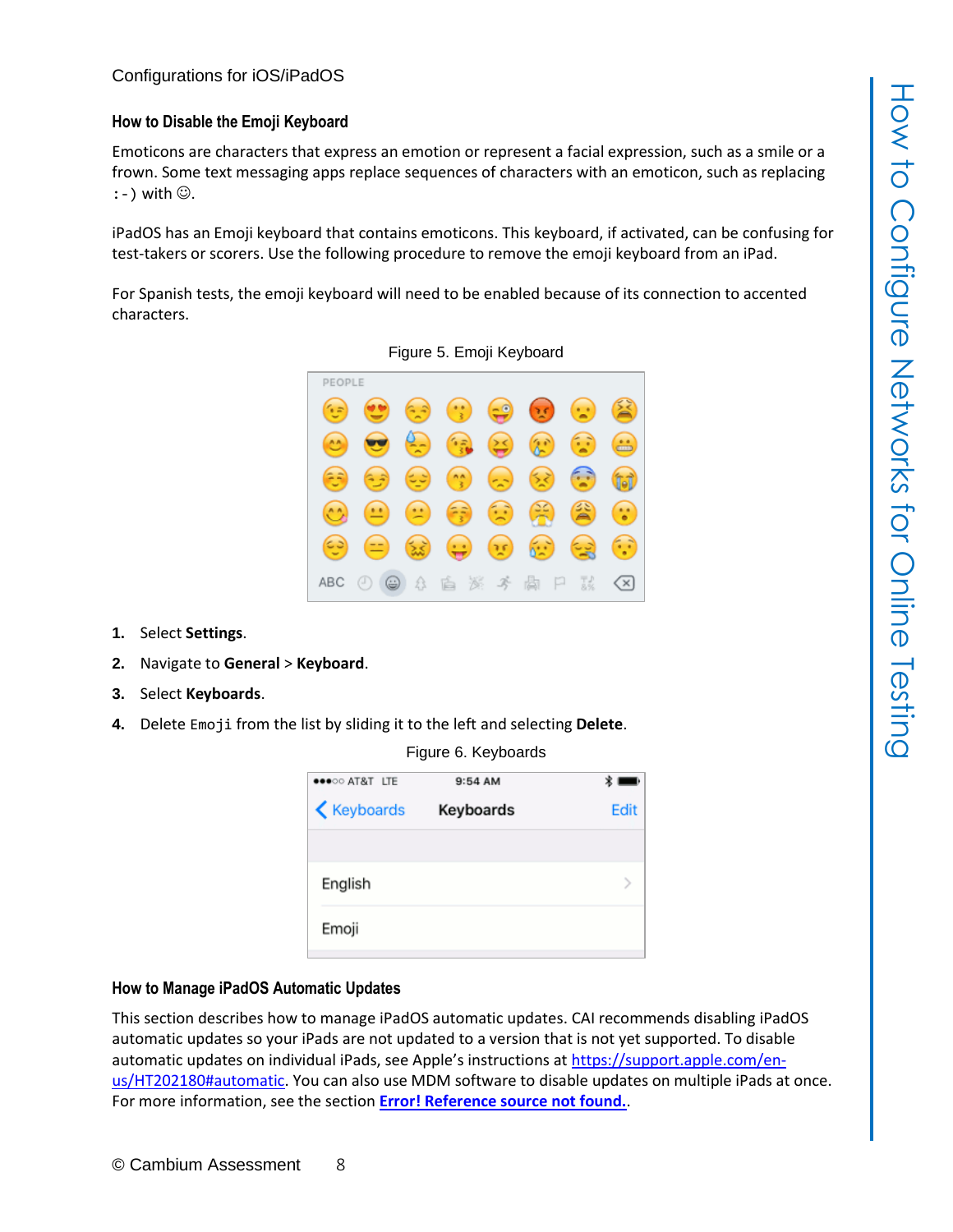#### <span id="page-7-0"></span>**How to Disable the Emoji Keyboard**

Emoticons are characters that express an emotion or represent a facial expression, such as a smile or a frown. Some text messaging apps replace sequences of characters with an emoticon, such as replacing  $:-$  ) with  $\odot$ .

iPadOS has an Emoji keyboard that contains emoticons. This keyboard, if activated, can be confusing for test-takers or scorers. Use the following procedure to remove the emoji keyboard from an iPad.

For Spanish tests, the emoji keyboard will need to be enabled because of its connection to accented characters.



Figure 5. Emoji Keyboard

- **1.** Select **Settings**.
- **2.** Navigate to **General** > **Keyboard**.
- **3.** Select **Keyboards**.
- **4.** Delete Emoji from the list by sliding it to the left and selecting **Delete**.

| ●●●○○ AT&T LTE     | Figure 0. Reybuarus<br>9:54 AM |      |
|--------------------|--------------------------------|------|
| <b>≮</b> Keyboards | Keyboards                      | Edit |
| English            |                                |      |
| Emoji              |                                |      |

<span id="page-7-2"></span>Figure 6. Keyboards

#### <span id="page-7-1"></span>**How to Manage iPadOS Automatic Updates**

This section describes how to manage iPadOS automatic updates. CAI recommends disabling iPadOS automatic updates so your iPads are not updated to a version that is not yet supported. To disable automatic updates on individual iPads, see Apple's instructions at [https://support.apple.com/en](https://support.apple.com/en-us/HT202180#automatic)[us/HT202180#automatic.](https://support.apple.com/en-us/HT202180#automatic) You can also use MDM software to disable updates on multiple iPads at once. For more information, see the section **Error! Reference source not found.**.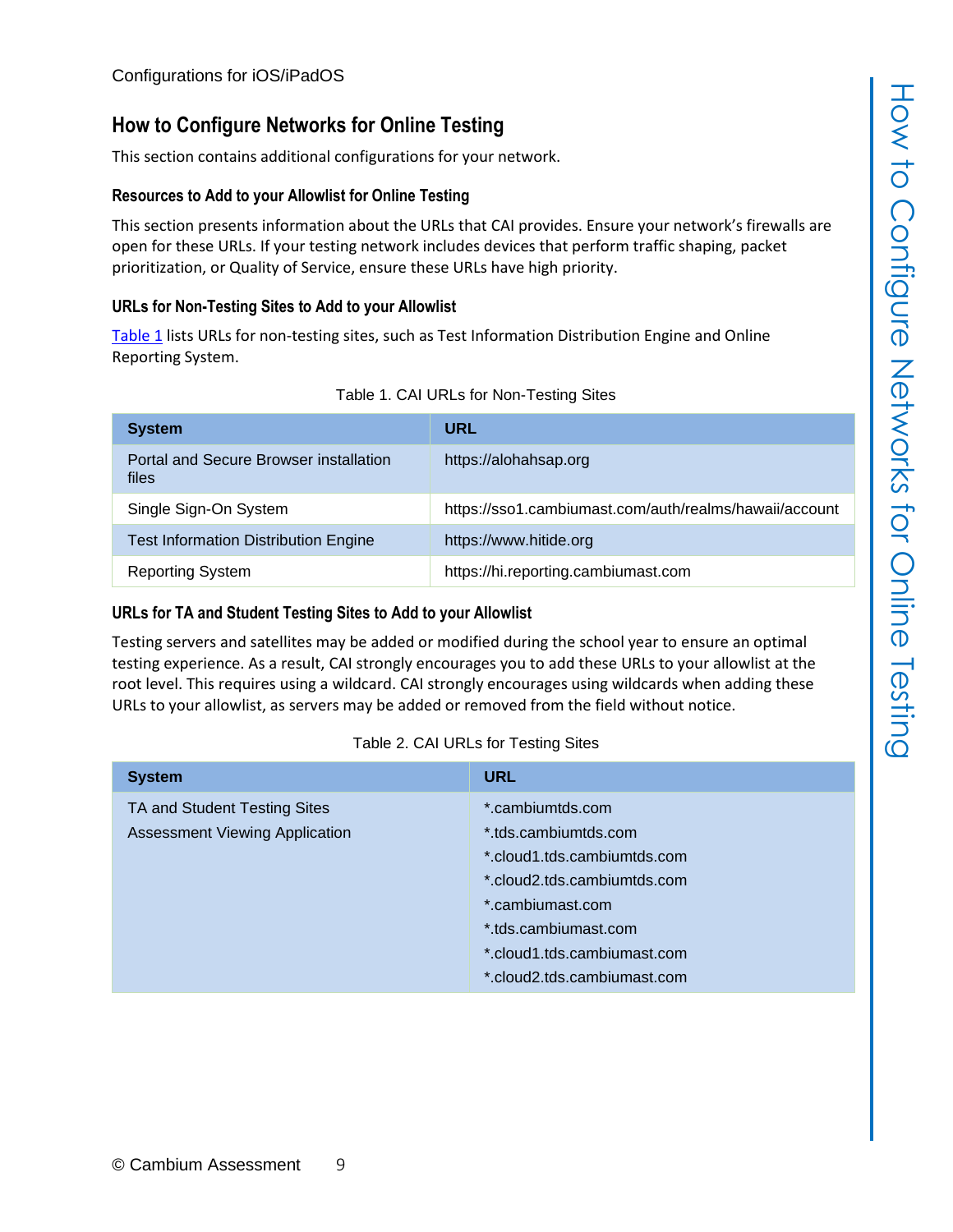#### **How to Configure Networks for Online Testing**

This section contains additional configurations for your network.

#### <span id="page-8-0"></span>**Resources to Add to your Allowlist for Online Testing**

This section presents information about the URLs that CAI provides. Ensure your network's firewalls are open for these URLs. If your testing network includes devices that perform traffic shaping, packet prioritization, or Quality of Service, ensure these URLs have high priority.

#### <span id="page-8-1"></span>**URLs for Non-Testing Sites to Add to your Allowlist**

[Table](#page-8-3) 1 lists URLs for non-testing sites, such as Test Information Distribution Engine and Online Reporting System.

<span id="page-8-3"></span>

| <b>System</b>                                   | <b>URL</b>                                             |
|-------------------------------------------------|--------------------------------------------------------|
| Portal and Secure Browser installation<br>files | https://alohahsap.org                                  |
| Single Sign-On System                           | https://sso1.cambiumast.com/auth/realms/hawaii/account |
| <b>Test Information Distribution Engine</b>     | https://www.hitide.org                                 |
| <b>Reporting System</b>                         | https://hi.reporting.cambiumast.com                    |

#### <span id="page-8-2"></span>**URLs for TA and Student Testing Sites to Add to your Allowlist**

Testing servers and satellites may be added or modified during the school year to ensure an optimal testing experience. As a result, CAI strongly encourages you to add these URLs to your allowlist at the root level. This requires using a wildcard. CAI strongly encourages using wildcards when adding these URLs to your allowlist, as servers may be added or removed from the field without notice.

#### Table 2. CAI URLs for Testing Sites

<span id="page-8-4"></span>

| <b>System</b>                                                         | <b>URL</b>                                                                                                                                                                                                       |
|-----------------------------------------------------------------------|------------------------------------------------------------------------------------------------------------------------------------------------------------------------------------------------------------------|
| TA and Student Testing Sites<br><b>Assessment Viewing Application</b> | *.cambiumtds.com<br>*.tds.cambiumtds.com<br>*.cloud1.tds.cambiumtds.com<br>*.cloud2.tds.cambiumtds.com<br>*.cambiumast.com<br>*.tds.cambiumast.com<br>*.cloud1.tds.cambiumast.com<br>*.cloud2.tds.cambiumast.com |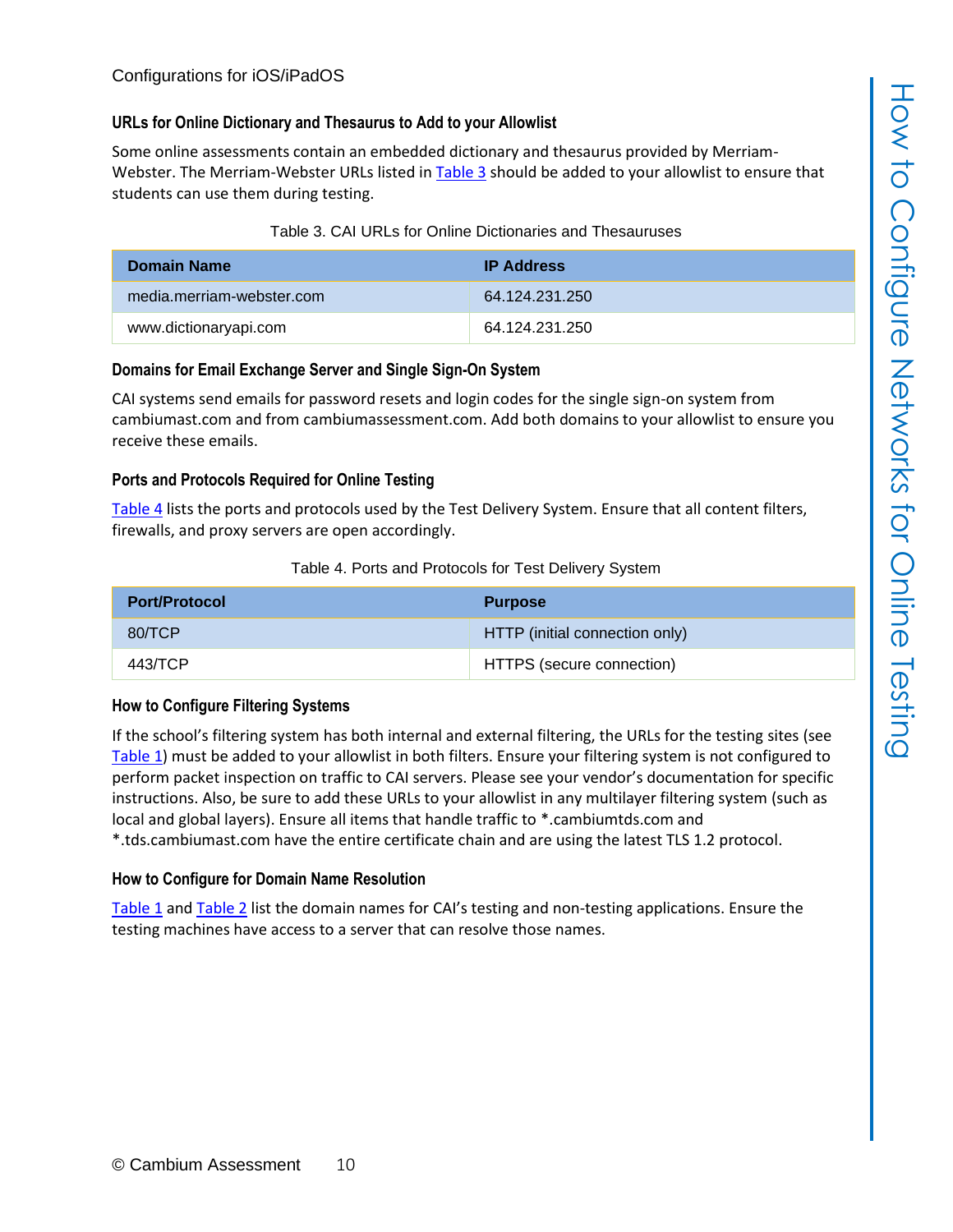#### <span id="page-9-0"></span>**URLs for Online Dictionary and Thesaurus to Add to your Allowlist**

Some online assessments contain an embedded dictionary and thesaurus provided by Merriam-Webster. The Merriam-Webster URLs listed in [Table](#page-9-5) 3 should be added to your allowlist to ensure that students can use them during testing.

#### Table 3. CAI URLs for Online Dictionaries and Thesauruses

<span id="page-9-5"></span>

| <b>Domain Name</b>        | <b>IP Address</b> |
|---------------------------|-------------------|
| media.merriam-webster.com | 64 124 231 250    |
| www.dictionaryapi.com     | 64 124 231 250    |

#### <span id="page-9-1"></span>**Domains for Email Exchange Server and Single Sign-On System**

CAI systems send emails for password resets and login codes for the single sign-on system from cambiumast.com and from cambiumassessment.com. Add both domains to your allowlist to ensure you receive these emails.

#### <span id="page-9-2"></span>**Ports and Protocols Required for Online Testing**

[Table](#page-9-6) 4 lists the ports and protocols used by the Test Delivery System. Ensure that all content filters, firewalls, and proxy servers are open accordingly.

#### Table 4. Ports and Protocols for Test Delivery System

<span id="page-9-6"></span>

| <b>Port/Protocol</b> | <b>Purpose</b>                 |
|----------------------|--------------------------------|
| 80/TCP               | HTTP (initial connection only) |
| 443/TCP              | HTTPS (secure connection)      |

#### <span id="page-9-3"></span>**How to Configure Filtering Systems**

If the school's filtering system has both internal and external filtering, the URLs for the testing sites (see [Table](#page-8-3) 1) must be added to your allowlist in both filters. Ensure your filtering system is not configured to perform packet inspection on traffic to CAI servers. Please see your vendor's documentation for specific instructions. Also, be sure to add these URLs to your allowlist in any multilayer filtering system (such as local and global layers). Ensure all items that handle traffic to \*.cambiumtds.com and \*.tds.cambiumast.com have the entire certificate chain and are using the latest TLS 1.2 protocol.

#### <span id="page-9-4"></span>**How to Configure for Domain Name Resolution**

[Table](#page-8-3) 1 and [Table](#page-8-4) 2 list the domain names for CAI's testing and non-testing applications. Ensure the testing machines have access to a server that can resolve those names.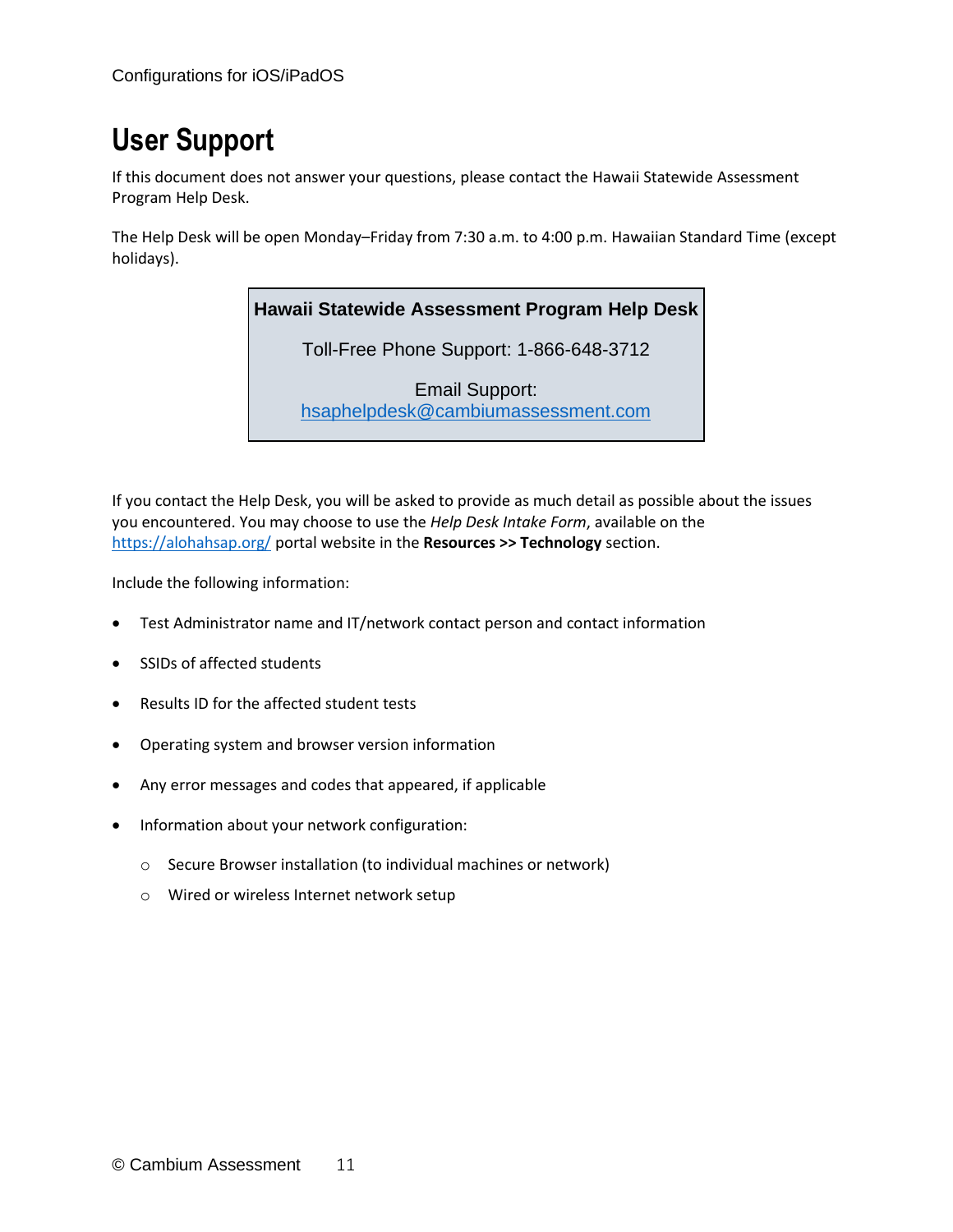## <span id="page-10-0"></span>**User Support**

If this document does not answer your questions, please contact the Hawaii Statewide Assessment Program Help Desk.

The Help Desk will be open Monday–Friday from 7:30 a.m. to 4:00 p.m. Hawaiian Standard Time (except holidays).

#### **Hawaii Statewide Assessment Program Help Desk**

Toll-Free Phone Support: 1-866-648-3712

Email Support: [hsaphelpdesk@cambiumassessment.com](mailto:hsaphelpdesk@cambiumassessment.com)

If you contact the Help Desk, you will be asked to provide as much detail as possible about the issues you encountered. You may choose to use the *Help Desk Intake Form*, available on the <https://alohahsap.org/> portal website in the **Resources >> Technology** section.

Include the following information:

- Test Administrator name and IT/network contact person and contact information
- SSIDs of affected students
- Results ID for the affected student tests
- Operating system and browser version information
- Any error messages and codes that appeared, if applicable
- Information about your network configuration:
	- o Secure Browser installation (to individual machines or network)
	- o Wired or wireless Internet network setup